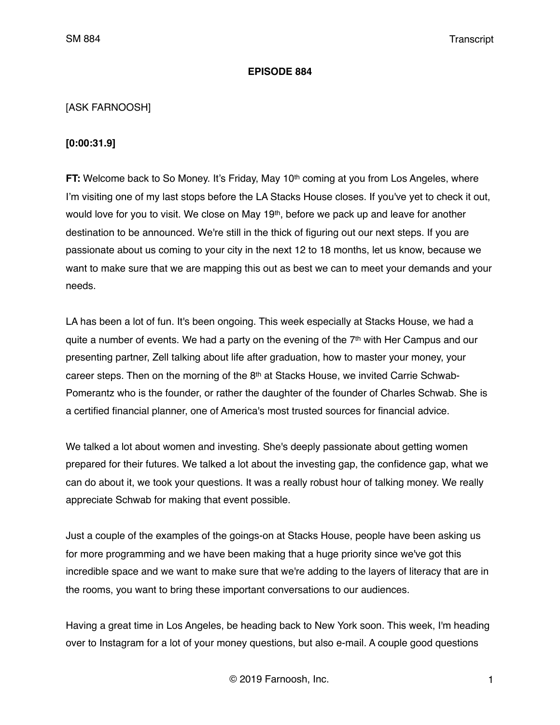## **EPISODE 884**

## [ASK FARNOOSH]

## **[0:00:31.9]**

**FT:** Welcome back to So Money. It's Friday, May 10<sup>th</sup> coming at you from Los Angeles, where I'm visiting one of my last stops before the LA Stacks House closes. If you've yet to check it out, would love for you to visit. We close on May 19<sup>th</sup>, before we pack up and leave for another destination to be announced. We're still in the thick of figuring out our next steps. If you are passionate about us coming to your city in the next 12 to 18 months, let us know, because we want to make sure that we are mapping this out as best we can to meet your demands and your needs.

LA has been a lot of fun. It's been ongoing. This week especially at Stacks House, we had a quite a number of events. We had a party on the evening of the  $7<sup>th</sup>$  with Her Campus and our presenting partner, Zell talking about life after graduation, how to master your money, your career steps. Then on the morning of the  $8<sup>th</sup>$  at Stacks House, we invited Carrie Schwab-Pomerantz who is the founder, or rather the daughter of the founder of Charles Schwab. She is a certified financial planner, one of America's most trusted sources for financial advice.

We talked a lot about women and investing. She's deeply passionate about getting women prepared for their futures. We talked a lot about the investing gap, the confidence gap, what we can do about it, we took your questions. It was a really robust hour of talking money. We really appreciate Schwab for making that event possible.

Just a couple of the examples of the goings-on at Stacks House, people have been asking us for more programming and we have been making that a huge priority since we've got this incredible space and we want to make sure that we're adding to the layers of literacy that are in the rooms, you want to bring these important conversations to our audiences.

Having a great time in Los Angeles, be heading back to New York soon. This week, I'm heading over to Instagram for a lot of your money questions, but also e-mail. A couple good questions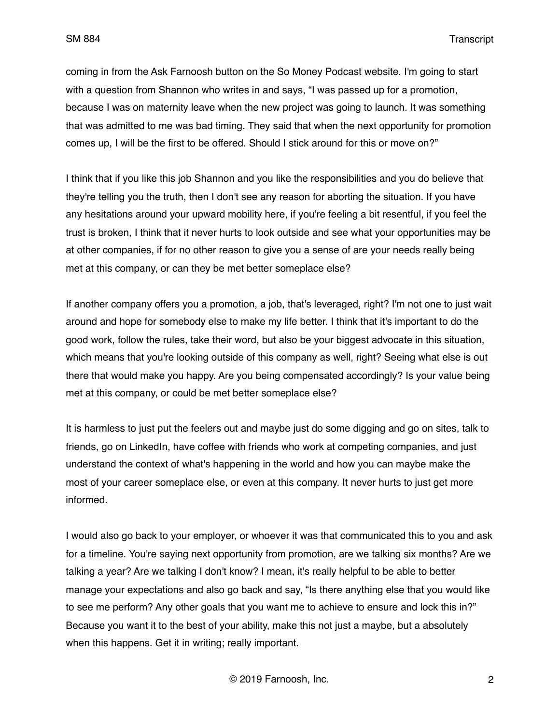coming in from the Ask Farnoosh button on the So Money Podcast website. I'm going to start with a question from Shannon who writes in and says, "I was passed up for a promotion, because I was on maternity leave when the new project was going to launch. It was something that was admitted to me was bad timing. They said that when the next opportunity for promotion comes up, I will be the first to be offered. Should I stick around for this or move on?"

I think that if you like this job Shannon and you like the responsibilities and you do believe that they're telling you the truth, then I don't see any reason for aborting the situation. If you have any hesitations around your upward mobility here, if you're feeling a bit resentful, if you feel the trust is broken, I think that it never hurts to look outside and see what your opportunities may be at other companies, if for no other reason to give you a sense of are your needs really being met at this company, or can they be met better someplace else?

If another company offers you a promotion, a job, that's leveraged, right? I'm not one to just wait around and hope for somebody else to make my life better. I think that it's important to do the good work, follow the rules, take their word, but also be your biggest advocate in this situation, which means that you're looking outside of this company as well, right? Seeing what else is out there that would make you happy. Are you being compensated accordingly? Is your value being met at this company, or could be met better someplace else?

It is harmless to just put the feelers out and maybe just do some digging and go on sites, talk to friends, go on LinkedIn, have coffee with friends who work at competing companies, and just understand the context of what's happening in the world and how you can maybe make the most of your career someplace else, or even at this company. It never hurts to just get more informed.

I would also go back to your employer, or whoever it was that communicated this to you and ask for a timeline. You're saying next opportunity from promotion, are we talking six months? Are we talking a year? Are we talking I don't know? I mean, it's really helpful to be able to better manage your expectations and also go back and say, "Is there anything else that you would like to see me perform? Any other goals that you want me to achieve to ensure and lock this in?" Because you want it to the best of your ability, make this not just a maybe, but a absolutely when this happens. Get it in writing; really important.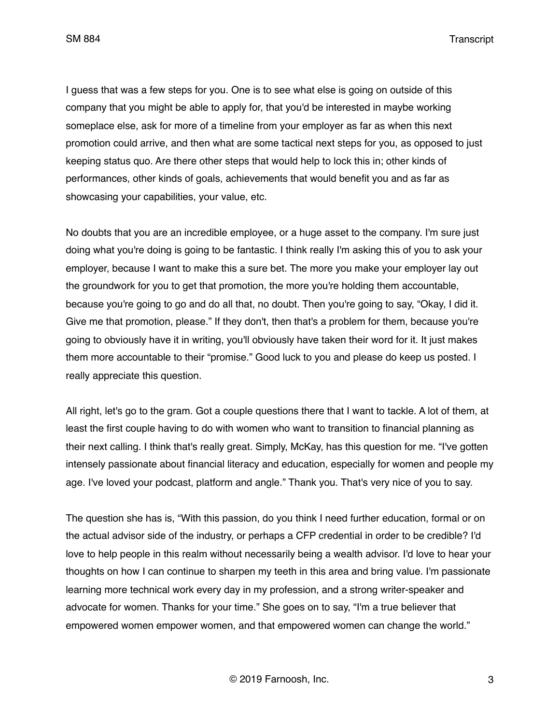I guess that was a few steps for you. One is to see what else is going on outside of this company that you might be able to apply for, that you'd be interested in maybe working someplace else, ask for more of a timeline from your employer as far as when this next promotion could arrive, and then what are some tactical next steps for you, as opposed to just keeping status quo. Are there other steps that would help to lock this in; other kinds of performances, other kinds of goals, achievements that would benefit you and as far as showcasing your capabilities, your value, etc.

No doubts that you are an incredible employee, or a huge asset to the company. I'm sure just doing what you're doing is going to be fantastic. I think really I'm asking this of you to ask your employer, because I want to make this a sure bet. The more you make your employer lay out the groundwork for you to get that promotion, the more you're holding them accountable, because you're going to go and do all that, no doubt. Then you're going to say, "Okay, I did it. Give me that promotion, please." If they don't, then that's a problem for them, because you're going to obviously have it in writing, you'll obviously have taken their word for it. It just makes them more accountable to their "promise." Good luck to you and please do keep us posted. I really appreciate this question.

All right, let's go to the gram. Got a couple questions there that I want to tackle. A lot of them, at least the first couple having to do with women who want to transition to financial planning as their next calling. I think that's really great. Simply, McKay, has this question for me. "I've gotten intensely passionate about financial literacy and education, especially for women and people my age. I've loved your podcast, platform and angle." Thank you. That's very nice of you to say.

The question she has is, "With this passion, do you think I need further education, formal or on the actual advisor side of the industry, or perhaps a CFP credential in order to be credible? I'd love to help people in this realm without necessarily being a wealth advisor. I'd love to hear your thoughts on how I can continue to sharpen my teeth in this area and bring value. I'm passionate learning more technical work every day in my profession, and a strong writer-speaker and advocate for women. Thanks for your time." She goes on to say, "I'm a true believer that empowered women empower women, and that empowered women can change the world."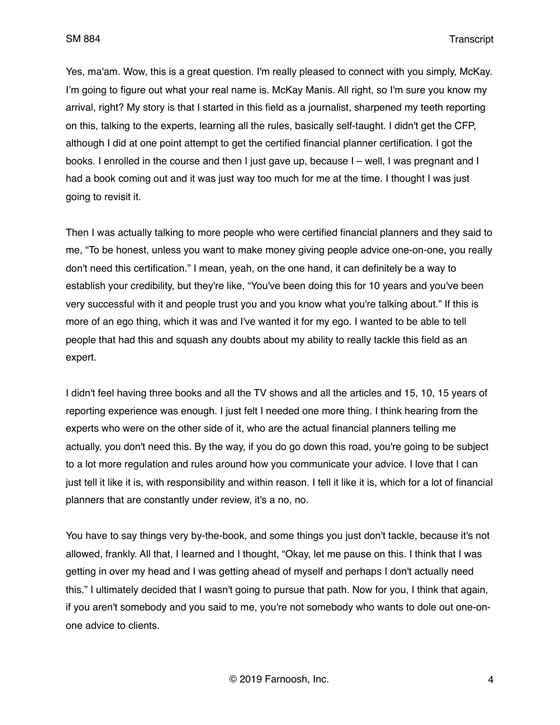Yes, ma'am. Wow, this is a great question. I'm really pleased to connect with you simply, McKay. I'm going to figure out what your real name is. McKay Manis. All right, so I'm sure you know my arrival, right? My story is that I started in this field as a journalist, sharpened my teeth reporting on this, talking to the experts, learning all the rules, basically self-taught. I didn't get the CFP, although I did at one point attempt to get the certified financial planner certification. I got the books. I enrolled in the course and then I just gave up, because I – well, I was pregnant and I had a book coming out and it was just way too much for me at the time. I thought I was just going to revisit it.

Then I was actually talking to more people who were certified financial planners and they said to me, "To be honest, unless you want to make money giving people advice one-on-one, you really don't need this certification." I mean, yeah, on the one hand, it can definitely be a way to establish your credibility, but they're like, "You've been doing this for 10 years and you've been very successful with it and people trust you and you know what you're talking about." If this is more of an ego thing, which it was and I've wanted it for my ego. I wanted to be able to tell people that had this and squash any doubts about my ability to really tackle this field as an expert.

I didn't feel having three books and all the TV shows and all the articles and 15, 10, 15 years of reporting experience was enough. I just felt I needed one more thing. I think hearing from the experts who were on the other side of it, who are the actual financial planners telling me actually, you don't need this. By the way, if you do go down this road, you're going to be subject to a lot more regulation and rules around how you communicate your advice. I love that I can just tell it like it is, with responsibility and within reason. I tell it like it is, which for a lot of financial planners that are constantly under review, it's a no, no.

You have to say things very by-the-book, and some things you just don't tackle, because it's not allowed, frankly. All that, I learned and I thought, "Okay, let me pause on this. I think that I was getting in over my head and I was getting ahead of myself and perhaps I don't actually need this." I ultimately decided that I wasn't going to pursue that path. Now for you, I think that again, if you aren't somebody and you said to me, you're not somebody who wants to dole out one-onone advice to clients.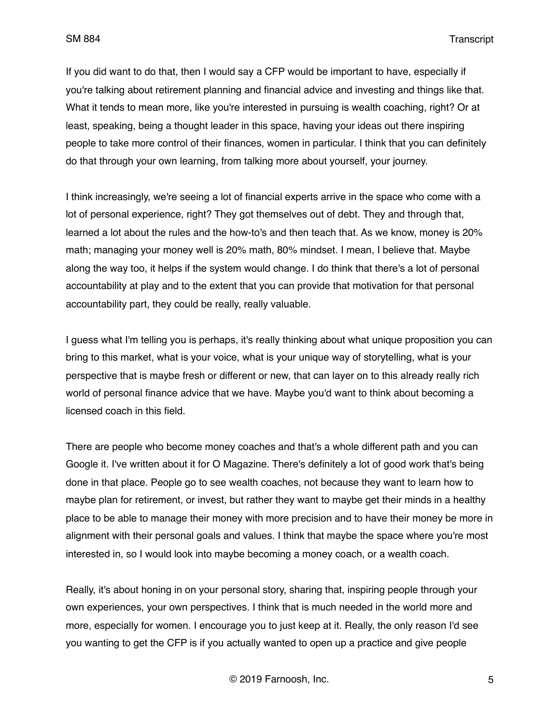If you did want to do that, then I would say a CFP would be important to have, especially if you're talking about retirement planning and financial advice and investing and things like that. What it tends to mean more, like you're interested in pursuing is wealth coaching, right? Or at least, speaking, being a thought leader in this space, having your ideas out there inspiring people to take more control of their finances, women in particular. I think that you can definitely do that through your own learning, from talking more about yourself, your journey.

I think increasingly, we're seeing a lot of financial experts arrive in the space who come with a lot of personal experience, right? They got themselves out of debt. They and through that, learned a lot about the rules and the how-to's and then teach that. As we know, money is 20% math; managing your money well is 20% math, 80% mindset. I mean, I believe that. Maybe along the way too, it helps if the system would change. I do think that there's a lot of personal accountability at play and to the extent that you can provide that motivation for that personal accountability part, they could be really, really valuable.

I guess what I'm telling you is perhaps, it's really thinking about what unique proposition you can bring to this market, what is your voice, what is your unique way of storytelling, what is your perspective that is maybe fresh or different or new, that can layer on to this already really rich world of personal finance advice that we have. Maybe you'd want to think about becoming a licensed coach in this field.

There are people who become money coaches and that's a whole different path and you can Google it. I've written about it for O Magazine. There's definitely a lot of good work that's being done in that place. People go to see wealth coaches, not because they want to learn how to maybe plan for retirement, or invest, but rather they want to maybe get their minds in a healthy place to be able to manage their money with more precision and to have their money be more in alignment with their personal goals and values. I think that maybe the space where you're most interested in, so I would look into maybe becoming a money coach, or a wealth coach.

Really, it's about honing in on your personal story, sharing that, inspiring people through your own experiences, your own perspectives. I think that is much needed in the world more and more, especially for women. I encourage you to just keep at it. Really, the only reason I'd see you wanting to get the CFP is if you actually wanted to open up a practice and give people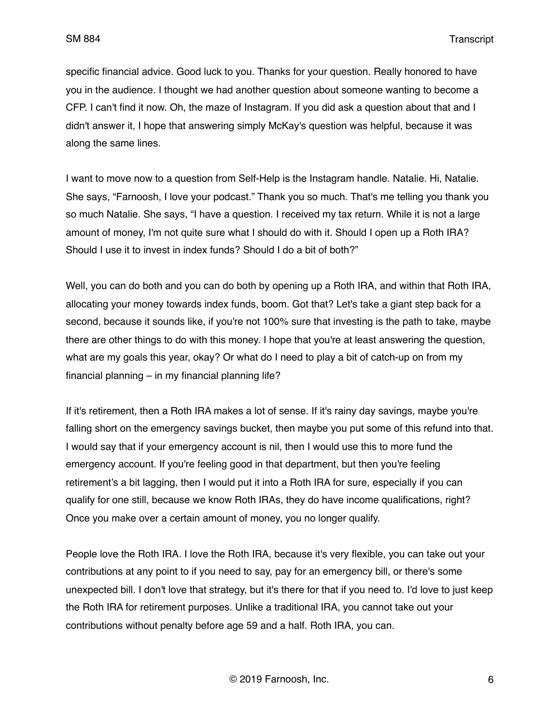specific financial advice. Good luck to you. Thanks for your question. Really honored to have you in the audience. I thought we had another question about someone wanting to become a CFP. I can't find it now. Oh, the maze of Instagram. If you did ask a question about that and I didn't answer it, I hope that answering simply McKay's question was helpful, because it was along the same lines.

I want to move now to a question from Self-Help is the Instagram handle. Natalie. Hi, Natalie. She says, "Farnoosh, I love your podcast." Thank you so much. That's me telling you thank you so much Natalie. She says, "I have a question. I received my tax return. While it is not a large amount of money, I'm not quite sure what I should do with it. Should I open up a Roth IRA? Should I use it to invest in index funds? Should I do a bit of both?"

Well, you can do both and you can do both by opening up a Roth IRA, and within that Roth IRA, allocating your money towards index funds, boom. Got that? Let's take a giant step back for a second, because it sounds like, if you're not 100% sure that investing is the path to take, maybe there are other things to do with this money. I hope that you're at least answering the question, what are my goals this year, okay? Or what do I need to play a bit of catch-up on from my financial planning – in my financial planning life?

If it's retirement, then a Roth IRA makes a lot of sense. If it's rainy day savings, maybe you're falling short on the emergency savings bucket, then maybe you put some of this refund into that. I would say that if your emergency account is nil, then I would use this to more fund the emergency account. If you're feeling good in that department, but then you're feeling retirement's a bit lagging, then I would put it into a Roth IRA for sure, especially if you can qualify for one still, because we know Roth IRAs, they do have income qualifications, right? Once you make over a certain amount of money, you no longer qualify.

People love the Roth IRA. I love the Roth IRA, because it's very flexible, you can take out your contributions at any point to if you need to say, pay for an emergency bill, or there's some unexpected bill. I don't love that strategy, but it's there for that if you need to. I'd love to just keep the Roth IRA for retirement purposes. Unlike a traditional IRA, you cannot take out your contributions without penalty before age 59 and a half. Roth IRA, you can.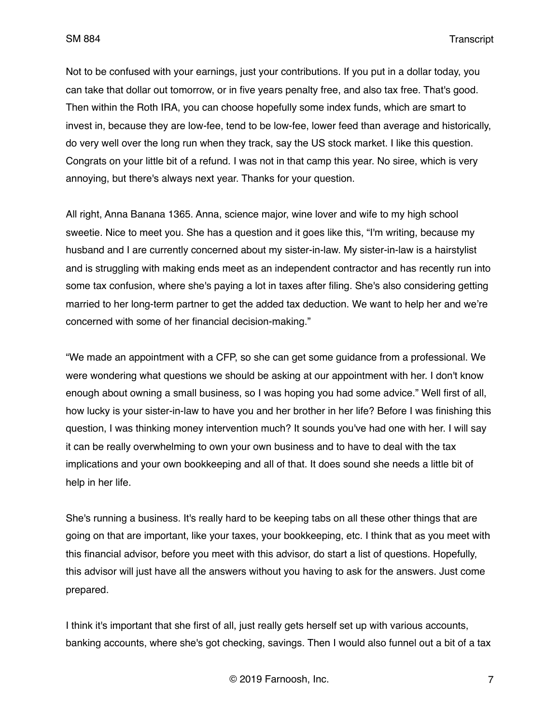Not to be confused with your earnings, just your contributions. If you put in a dollar today, you can take that dollar out tomorrow, or in five years penalty free, and also tax free. That's good. Then within the Roth IRA, you can choose hopefully some index funds, which are smart to invest in, because they are low-fee, tend to be low-fee, lower feed than average and historically, do very well over the long run when they track, say the US stock market. I like this question. Congrats on your little bit of a refund. I was not in that camp this year. No siree, which is very annoying, but there's always next year. Thanks for your question.

All right, Anna Banana 1365. Anna, science major, wine lover and wife to my high school sweetie. Nice to meet you. She has a question and it goes like this, "I'm writing, because my husband and I are currently concerned about my sister-in-law. My sister-in-law is a hairstylist and is struggling with making ends meet as an independent contractor and has recently run into some tax confusion, where she's paying a lot in taxes after filing. She's also considering getting married to her long-term partner to get the added tax deduction. We want to help her and we're concerned with some of her financial decision-making."

"We made an appointment with a CFP, so she can get some guidance from a professional. We were wondering what questions we should be asking at our appointment with her. I don't know enough about owning a small business, so I was hoping you had some advice." Well first of all, how lucky is your sister-in-law to have you and her brother in her life? Before I was finishing this question, I was thinking money intervention much? It sounds you've had one with her. I will say it can be really overwhelming to own your own business and to have to deal with the tax implications and your own bookkeeping and all of that. It does sound she needs a little bit of help in her life.

She's running a business. It's really hard to be keeping tabs on all these other things that are going on that are important, like your taxes, your bookkeeping, etc. I think that as you meet with this financial advisor, before you meet with this advisor, do start a list of questions. Hopefully, this advisor will just have all the answers without you having to ask for the answers. Just come prepared.

I think it's important that she first of all, just really gets herself set up with various accounts, banking accounts, where she's got checking, savings. Then I would also funnel out a bit of a tax

© 2019 Farnoosh, Inc. 7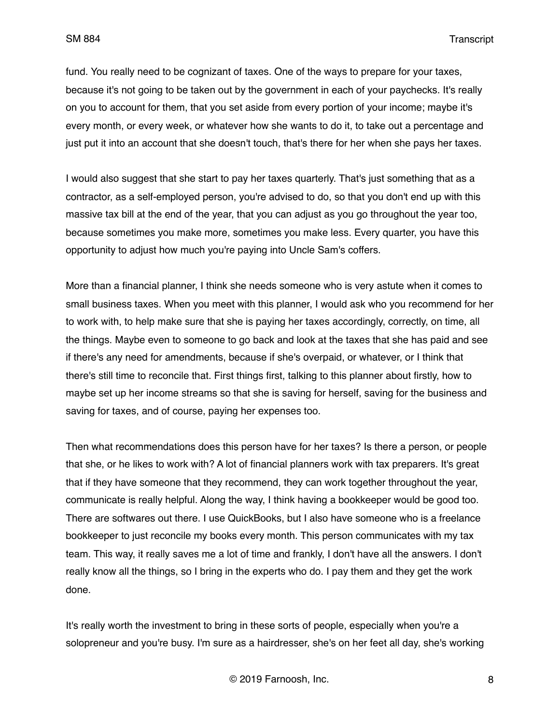fund. You really need to be cognizant of taxes. One of the ways to prepare for your taxes, because it's not going to be taken out by the government in each of your paychecks. It's really on you to account for them, that you set aside from every portion of your income; maybe it's every month, or every week, or whatever how she wants to do it, to take out a percentage and just put it into an account that she doesn't touch, that's there for her when she pays her taxes.

I would also suggest that she start to pay her taxes quarterly. That's just something that as a contractor, as a self-employed person, you're advised to do, so that you don't end up with this massive tax bill at the end of the year, that you can adjust as you go throughout the year too, because sometimes you make more, sometimes you make less. Every quarter, you have this opportunity to adjust how much you're paying into Uncle Sam's coffers.

More than a financial planner, I think she needs someone who is very astute when it comes to small business taxes. When you meet with this planner, I would ask who you recommend for her to work with, to help make sure that she is paying her taxes accordingly, correctly, on time, all the things. Maybe even to someone to go back and look at the taxes that she has paid and see if there's any need for amendments, because if she's overpaid, or whatever, or I think that there's still time to reconcile that. First things first, talking to this planner about firstly, how to maybe set up her income streams so that she is saving for herself, saving for the business and saving for taxes, and of course, paying her expenses too.

Then what recommendations does this person have for her taxes? Is there a person, or people that she, or he likes to work with? A lot of financial planners work with tax preparers. It's great that if they have someone that they recommend, they can work together throughout the year, communicate is really helpful. Along the way, I think having a bookkeeper would be good too. There are softwares out there. I use QuickBooks, but I also have someone who is a freelance bookkeeper to just reconcile my books every month. This person communicates with my tax team. This way, it really saves me a lot of time and frankly, I don't have all the answers. I don't really know all the things, so I bring in the experts who do. I pay them and they get the work done.

It's really worth the investment to bring in these sorts of people, especially when you're a solopreneur and you're busy. I'm sure as a hairdresser, she's on her feet all day, she's working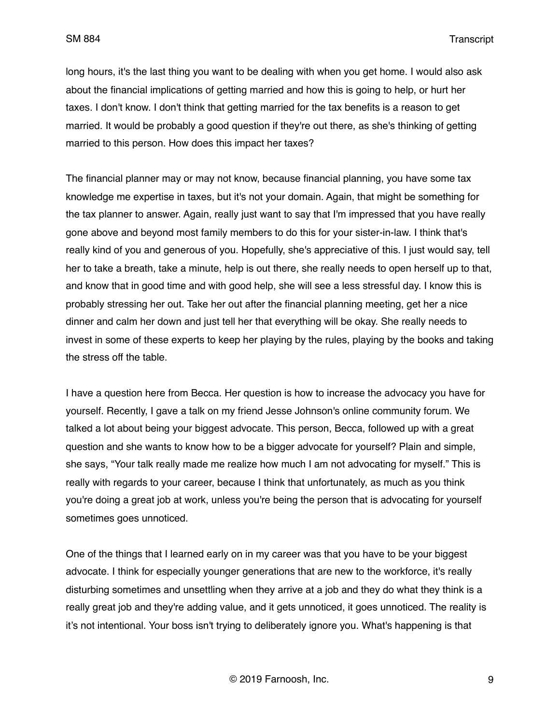long hours, it's the last thing you want to be dealing with when you get home. I would also ask about the financial implications of getting married and how this is going to help, or hurt her taxes. I don't know. I don't think that getting married for the tax benefits is a reason to get married. It would be probably a good question if they're out there, as she's thinking of getting married to this person. How does this impact her taxes?

The financial planner may or may not know, because financial planning, you have some tax knowledge me expertise in taxes, but it's not your domain. Again, that might be something for the tax planner to answer. Again, really just want to say that I'm impressed that you have really gone above and beyond most family members to do this for your sister-in-law. I think that's really kind of you and generous of you. Hopefully, she's appreciative of this. I just would say, tell her to take a breath, take a minute, help is out there, she really needs to open herself up to that, and know that in good time and with good help, she will see a less stressful day. I know this is probably stressing her out. Take her out after the financial planning meeting, get her a nice dinner and calm her down and just tell her that everything will be okay. She really needs to invest in some of these experts to keep her playing by the rules, playing by the books and taking the stress off the table.

I have a question here from Becca. Her question is how to increase the advocacy you have for yourself. Recently, I gave a talk on my friend Jesse Johnson's online community forum. We talked a lot about being your biggest advocate. This person, Becca, followed up with a great question and she wants to know how to be a bigger advocate for yourself? Plain and simple, she says, "Your talk really made me realize how much I am not advocating for myself." This is really with regards to your career, because I think that unfortunately, as much as you think you're doing a great job at work, unless you're being the person that is advocating for yourself sometimes goes unnoticed.

One of the things that I learned early on in my career was that you have to be your biggest advocate. I think for especially younger generations that are new to the workforce, it's really disturbing sometimes and unsettling when they arrive at a job and they do what they think is a really great job and they're adding value, and it gets unnoticed, it goes unnoticed. The reality is it's not intentional. Your boss isn't trying to deliberately ignore you. What's happening is that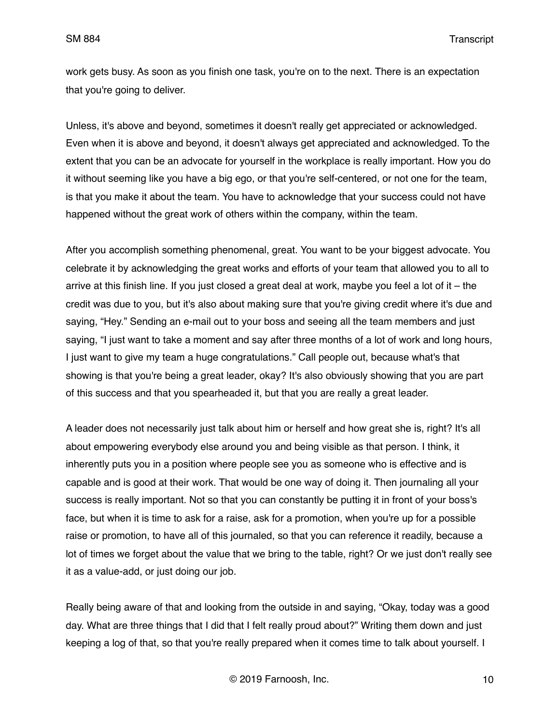work gets busy. As soon as you finish one task, you're on to the next. There is an expectation that you're going to deliver.

Unless, it's above and beyond, sometimes it doesn't really get appreciated or acknowledged. Even when it is above and beyond, it doesn't always get appreciated and acknowledged. To the extent that you can be an advocate for yourself in the workplace is really important. How you do it without seeming like you have a big ego, or that you're self-centered, or not one for the team, is that you make it about the team. You have to acknowledge that your success could not have happened without the great work of others within the company, within the team.

After you accomplish something phenomenal, great. You want to be your biggest advocate. You celebrate it by acknowledging the great works and efforts of your team that allowed you to all to arrive at this finish line. If you just closed a great deal at work, maybe you feel a lot of it – the credit was due to you, but it's also about making sure that you're giving credit where it's due and saying, "Hey." Sending an e-mail out to your boss and seeing all the team members and just saying, "I just want to take a moment and say after three months of a lot of work and long hours, I just want to give my team a huge congratulations." Call people out, because what's that showing is that you're being a great leader, okay? It's also obviously showing that you are part of this success and that you spearheaded it, but that you are really a great leader.

A leader does not necessarily just talk about him or herself and how great she is, right? It's all about empowering everybody else around you and being visible as that person. I think, it inherently puts you in a position where people see you as someone who is effective and is capable and is good at their work. That would be one way of doing it. Then journaling all your success is really important. Not so that you can constantly be putting it in front of your boss's face, but when it is time to ask for a raise, ask for a promotion, when you're up for a possible raise or promotion, to have all of this journaled, so that you can reference it readily, because a lot of times we forget about the value that we bring to the table, right? Or we just don't really see it as a value-add, or just doing our job.

Really being aware of that and looking from the outside in and saying, "Okay, today was a good day. What are three things that I did that I felt really proud about?" Writing them down and just keeping a log of that, so that you're really prepared when it comes time to talk about yourself. I